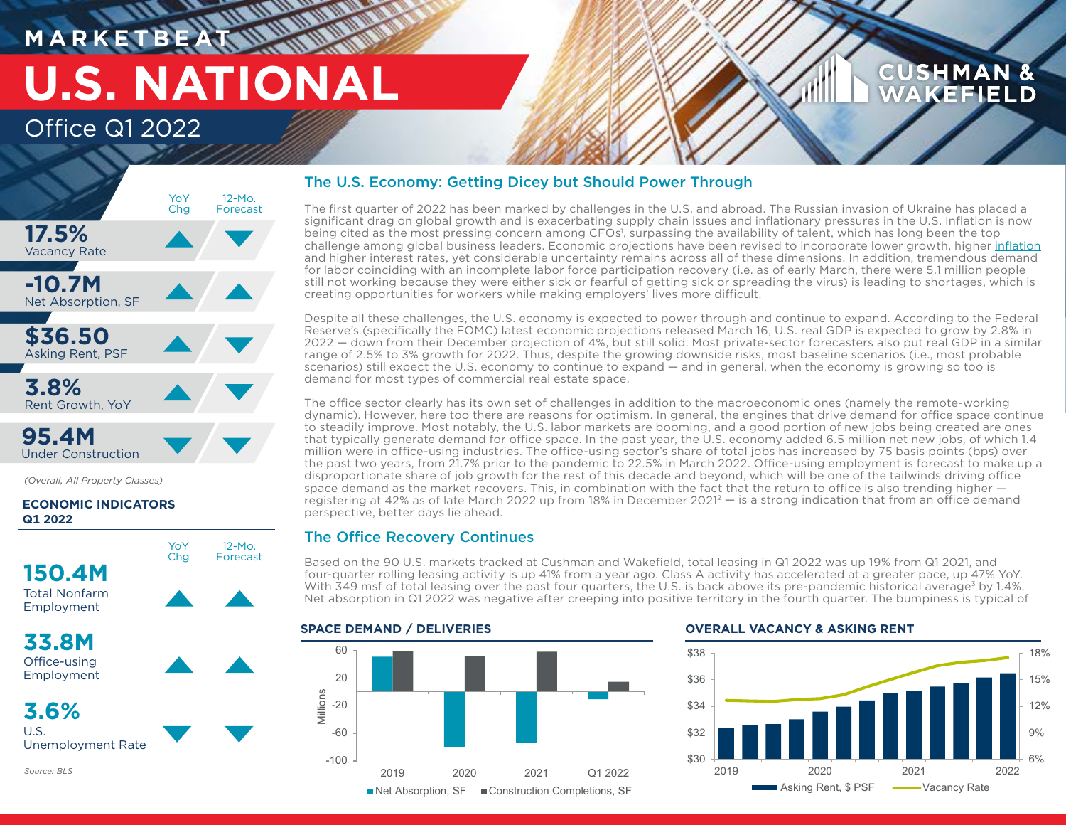## **M A R K E T B E AT U.S. NATIONAL** Office Q1 2022

## **CUSHMAN &** WAKEFIELD



Under Construction

*(Overall, All Property Classes)*

## **ECONOMIC INDICATORS Q1 2022**



## The U.S. Economy: Getting Dicey but Should Power Through

The first quarter of 2022 has been marked by challenges in the U.S. and abroad. The Russian invasion of Ukraine has placed a significant drag on global growth and is exacerbating supply chain issues and inflationary pressures in the U.S. Inflation is now being cited as the most pressing concern among CFOs<sup>1</sup>, surpassing the availability of talent, which has long been the top challenge among global business leaders. Economic projections have been revised to incorporate lower growth, higher [inflation](https://www.cushmanwakefield.com/en/insights/inflation-in-focus) and higher interest rates, yet considerable uncertainty remains across all of these dimensions. In addition, tremendous demand for labor coinciding with an incomplete labor force participation recovery (i.e. as of early March, there were 5.1 million people still not working because they were either sick or fearful of getting sick or spreading the virus) is leading to shortages, which is creating opportunities for workers while making employers' lives more difficult.

Despite all these challenges, the U.S. economy is expected to power through and continue to expand. According to the Federal Reserve's (specifically the FOMC) latest economic projections released March 16, U.S. real GDP is expected to grow by 2.8% in 2022 — down from their December projection of 4%, but still solid. Most private-sector forecasters also put real GDP in a similar range of 2.5% to 3% growth for 2022. Thus, despite the growing downside risks, most baseline scenarios (i.e., most probable scenarios) still expect the U.S. economy to continue to expand — and in general, when the economy is growing so too is demand for most types of commercial real estate space.

The office sector clearly has its own set of challenges in addition to the macroeconomic ones (namely the remote-working dynamic). However, here too there are reasons for optimism. In general, the engines that drive demand for office space continue to steadily improve. Most notably, the U.S. labor markets are booming, and a good portion of new jobs being created are ones that typically generate demand for office space. In the past year, the U.S. economy added 6.5 million net new jobs, of which 1.4 million were in office-using industries. The office-using sector's share of total jobs has increased by 75 basis points (bps) over the past two years, from 21.7% prior to the pandemic to 22.5% in March 2022. Office-using employment is forecast to make up a disproportionate share of job growth for the rest of this decade and beyond, which will be one of the tailwinds driving office space demand as the market recovers. This, in combination with the fact that the return to office is also trending higher – registering at 42% as of late March 2022 up from 18% in December 2021<sup>2</sup> — is a strong indication that from an office demand perspective, better days lie ahead.

## The Office Recovery Continues

Based on the 90 U.S. markets tracked at Cushman and Wakefield, total leasing in Q1 2022 was up 19% from Q1 2021, and four-quarter rolling leasing activity is up 41% from a year ago. Class A activity has accelerated at a greater pace, up 47% YoY. With 349 msf of total leasing over the past four quarters, the U.S. is back above its pre-pandemic historical average<sup>3</sup> by 1.4%. Net absorption in Q1 2022 was negative after creeping into positive territory in the fourth quarter. The bumpiness is typical of



### **OVERALL VACANCY & ASKING RENT**



*Source: BLS*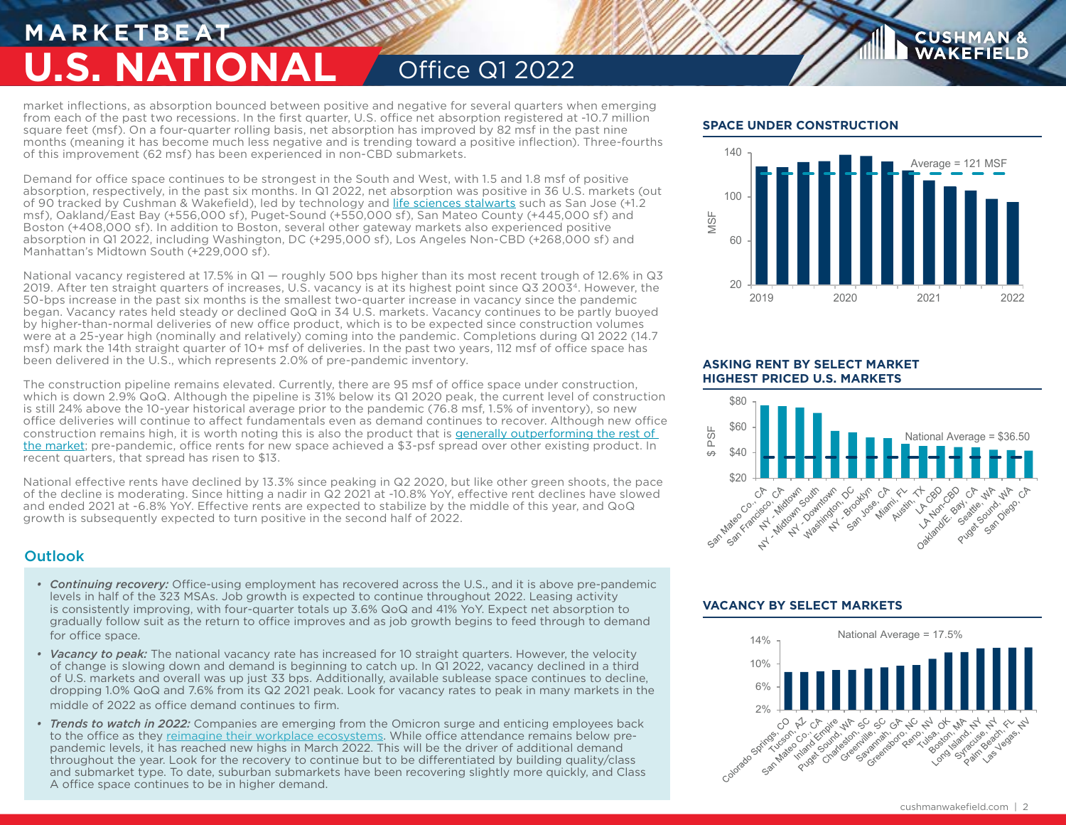## **MARKETBEA U.S. NATIONAL Office Q1 2022**

market inflections, as absorption bounced between positive and negative for several quarters when emerging from each of the past two recessions. In the first quarter, U.S. office net absorption registered at -10.7 million square feet (msf). On a four-quarter rolling basis, net absorption has improved by 82 msf in the past nine months (meaning it has become much less negative and is trending toward a positive inflection). Three-fourths of this improvement (62 msf) has been experienced in non-CBD submarkets.

Demand for office space continues to be strongest in the South and West, with 1.5 and 1.8 msf of positive absorption, respectively, in the past six months. In Q1 2022, net absorption was positive in 36 U.S. markets (out of 90 tracked by Cushman & Wakefield), led by technology and [life sciences stalwarts](https://www.cushmanwakefield.com/en/united-states/insights/life-science-report) such as San Jose (+1.2 msf), Oakland/East Bay (+556,000 sf), Puget-Sound (+550,000 sf), San Mateo County (+445,000 sf) and Boston (+408,000 sf). In addition to Boston, several other gateway markets also experienced positive absorption in Q1 2022, including Washington, DC (+295,000 sf), Los Angeles Non-CBD (+268,000 sf) and Manhattan's Midtown South (+229,000 sf).

National vacancy registered at 17.5% in Q1 — roughly 500 bps higher than its most recent trough of 12.6% in Q3 2019. After ten straight quarters of increases, U.S. vacancy is at its highest point since Q3 20034. However, the 50-bps increase in the past six months is the smallest two-quarter increase in vacancy since the pandemic began. Vacancy rates held steady or declined QoQ in 34 U.S. markets. Vacancy continues to be partly buoyed by higher-than-normal deliveries of new office product, which is to be expected since construction volumes were at a 25-year high (nominally and relatively) coming into the pandemic. Completions during Q1 2022 (14.7 msf) mark the 14th straight quarter of 10+ msf of deliveries. In the past two years, 112 msf of office space has been delivered in the U.S., which represents 2.0% of pre-pandemic inventory.

The construction pipeline remains elevated. Currently, there are 95 msf of office space under construction, which is down 2.9% QoQ. Although the pipeline is 31% below its Q1 2020 peak, the current level of construction is still 24% above the 10-year historical average prior to the pandemic (76.8 msf, 1.5% of inventory), so new office deliveries will continue to affect fundamentals even as demand continues to recover. Although new office construction remains high, it is worth noting this is also the product that is [generally outperforming the rest of](https://www.cushmanwakefield.com/en/united-states/insights/research-spotlight-new-us-office-building-performance)  [the market](https://www.cushmanwakefield.com/en/united-states/insights/research-spotlight-new-us-office-building-performance); pre-pandemic, office rents for new space achieved a \$3-psf spread over other existing product. In recent quarters, that spread has risen to \$13.

National effective rents have declined by 13.3% since peaking in Q2 2020, but like other green shoots, the pace of the decline is moderating. Since hitting a nadir in Q2 2021 at -10.8% YoY, effective rent declines have slowed and ended 2021 at -6.8% YoY. Effective rents are expected to stabilize by the middle of this year, and QoQ growth is subsequently expected to turn positive in the second half of 2022.

## **Outlook**

- *• Continuing recovery:* Office-using employment has recovered across the U.S., and it is above pre-pandemic levels in half of the 323 MSAs. Job growth is expected to continue throughout 2022. Leasing activity is consistently improving, with four-quarter totals up 3.6% QoQ and 41% YoY. Expect net absorption to gradually follow suit as the return to office improves and as job growth begins to feed through to demand for office space.
- *• Vacancy to peak:* The national vacancy rate has increased for 10 straight quarters. However, the velocity of change is slowing down and demand is beginning to catch up. In Q1 2022, vacancy declined in a third of U.S. markets and overall was up just 33 bps. Additionally, available sublease space continues to decline, dropping 1.0% QoQ and 7.6% from its Q2 2021 peak. Look for vacancy rates to peak in many markets in the middle of 2022 as office demand continues to firm.
- *• Trends to watch in 2022:* Companies are emerging from the Omicron surge and enticing employees back to the office as they [reimagine their workplace ecosystems.](https://www.cushmanwakefield.com/en/insights/the-nowhere-office-podcast) While office attendance remains below prepandemic levels, it has reached new highs in March 2022. This will be the driver of additional demand throughout the year. Look for the recovery to continue but to be differentiated by building quality/class and submarket type. To date, suburban submarkets have been recovering slightly more quickly, and Class A office space continues to be in higher demand.

## **SPACE UNDER CONSTRUCTION**



**CUSHMAN WAKEFIEL** 

## **ASKING RENT BY SELECT MARKET HIGHEST PRICED U.S. MARKETS**



## **VACANCY BY SELECT MARKETS**

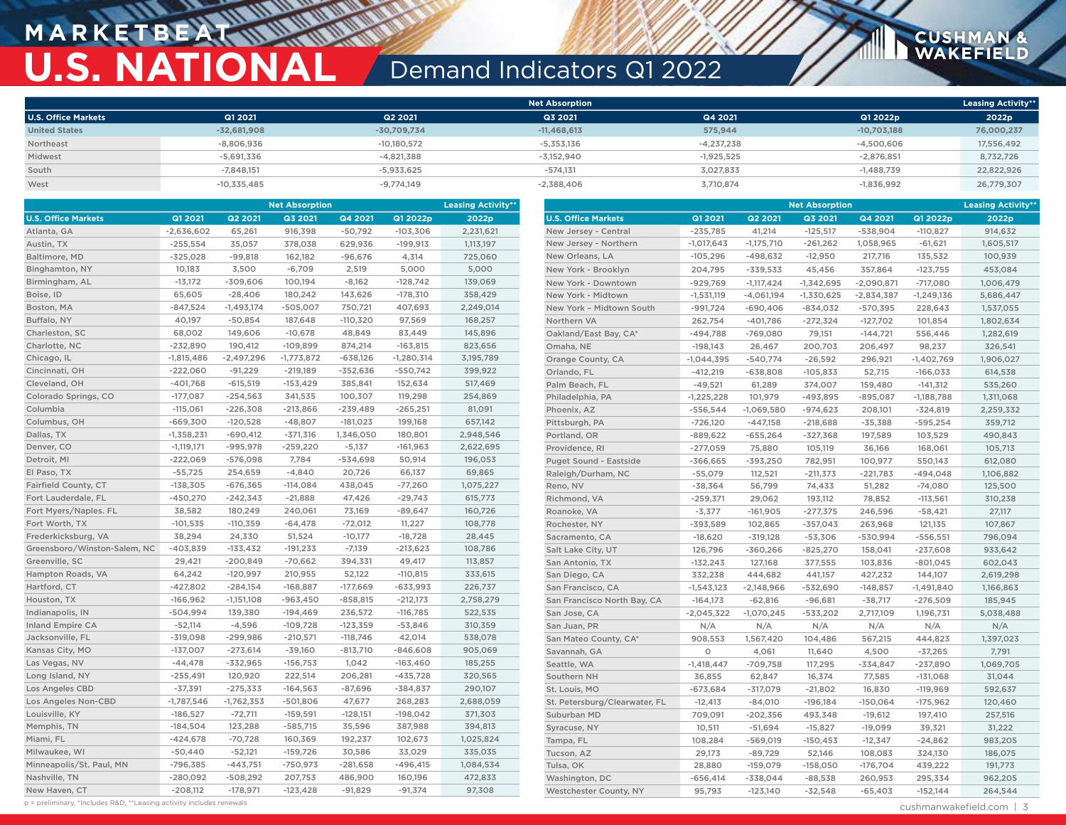# **M A R K E T B E AT U.S. NATIONAL** Demand Indicators Q1 2022

|                            |               |               | <b>Net Absorption</b> |              |               | <b>Leasing Activity**</b> |
|----------------------------|---------------|---------------|-----------------------|--------------|---------------|---------------------------|
| <b>U.S. Office Markets</b> | Q1 2021       | Q2 2021       | Q3 2021               | Q4 2021      | Q1 2022p      | 2022p                     |
| <b>United States</b>       | $-32,681,908$ | $-30,709,734$ | $-11,468,613$         | 575,944      | $-10,703,188$ | 76,000,237                |
| Northeast                  | $-8,806,936$  | $-10,180,572$ | $-5.353.136$          | $-4.237.238$ | $-4.500.606$  | 17,556,492                |
| Midwest                    | $-5,691,336$  | $-4,821,388$  | $-3.152.940$          | $-1.925.525$ | $-2.876.851$  | 8,732,726                 |
| South                      | $-7.848.151$  | $-5,933,625$  | $-574.131$            | 3.027.833    | $-1,488,739$  | 22,822,926                |
| West                       | $-10,335,485$ | -9,774,149    | $-2,388,406$          | 3,710,874    | $-1,836,992$  | 26,779,307                |

|                              |              |              | <b>Net Absorption</b> |            |              | <b>Leasing Activity*</b> |                               |              |                | <b>Net Absorption</b> |              |              | <b>Leasing Activity**</b> |
|------------------------------|--------------|--------------|-----------------------|------------|--------------|--------------------------|-------------------------------|--------------|----------------|-----------------------|--------------|--------------|---------------------------|
| <b>U.S. Office Markets</b>   | Q1 2021      | Q2 2021      | Q3 2021               | Q4 2021    | Q1 2022p     | 2022p                    | <b>U.S. Office Markets</b>    | Q1 2021      | <b>Q2 2021</b> | Q3 2021               | Q4 2021      | Q1 2022p     | 2022p                     |
| Atlanta, GA                  | $-2,636,602$ | 65,261       | 916,398               | $-50,792$  | $-103,306$   | 2,231,621                | New Jersey - Central          | $-235,785$   | 41,214         | $-125,517$            | $-538,904$   | $-110,827$   | 914,632                   |
| Austin, TX                   | $-255,554$   | 35,057       | 378,038               | 629,936    | $-199,913$   | 1,113,197                | New Jersey - Northern         | $-1,017,643$ | $-1,175,710$   | $-261,262$            | 1,058,965    | $-61,621$    | 1,605,517                 |
| Baltimore, MD                | $-325,028$   | $-99,818$    | 162,182               | $-96,676$  | 4,314        | 725,060                  | New Orleans, LA               | $-105,296$   | $-498,632$     | $-12,950$             | 217,716      | 135,532      | 100,939                   |
| Binghamton, NY               | 10,183       | 3,500        | $-6,709$              | 2,519      | 5,000        | 5,000                    | New York - Brooklyn           | 204,795      | $-339,533$     | 45,456                | 357,864      | $-123,755$   | 453,084                   |
| Birmingham, AL               | $-13,172$    | $-309,606$   | 100,194               | $-8,162$   | $-128,742$   | 139,069                  | New York - Downtown           | $-929,769$   | $-1,117,424$   | $-1,342,695$          | $-2,090,871$ | $-717,080$   | 1,006,479                 |
| Boise, ID                    | 65,605       | $-28,406$    | 180,242               | 143,626    | $-178,310$   | 358,429                  | New York - Midtown            | $-1,531,119$ | $-4,061,194$   | $-1,330,625$          | $-2,834,387$ | $-1,249,136$ | 5,686,447                 |
| Boston, MA                   | $-847,524$   | $-1,493,174$ | $-505,007$            | 750,721    | 407,693      | 2,249,014                | New York - Midtown South      | $-991,724$   | $-690,406$     | $-834,032$            | $-570,395$   | 228,643      | 1,537,055                 |
| Buffalo, NY                  | 40,197       | $-50,854$    | 187,648               | $-110,320$ | 97,569       | 168,257                  | Northern VA                   | 262,754      | $-401,786$     | $-272,324$            | $-127,702$   | 101,854      | 1,802,634                 |
| Charleston, SC               | 68,002       | 149,606      | $-10,678$             | 48,849     | 83,449       | 145,896                  | Oakland/East Bay, CA*         | $-494,788$   | $-769,080$     | 79,151                | $-144,721$   | 556,446      | 1,282,619                 |
| Charlotte, NC                | $-232,890$   | 190,412      | $-109,899$            | 874,214    | $-163,815$   | 823,656                  | Omaha, NE                     | $-198,143$   | 26,467         | 200,703               | 206,497      | 98,237       | 326,541                   |
| Chicago, IL                  | $-1,815,486$ | $-2,497,296$ | $-1,773,872$          | $-638,126$ | $-1,280,314$ | 3,195,789                | Orange County, CA             | $-1,044,395$ | $-540,774$     | $-26,592$             | 296,921      | $-1,402,769$ | 1,906,027                 |
| Cincinnati, OH               | $-222,060$   | $-91,229$    | $-219,189$            | $-352,636$ | $-550,742$   | 399,922                  | Orlando, FL                   | $-412,219$   | $-638,808$     | $-105,833$            | 52,715       | $-166,033$   | 614,538                   |
| Cleveland, OH                | $-401,768$   | $-615,519$   | $-153,429$            | 385,841    | 152,634      | 517,469                  | Palm Beach, FL                | $-49,521$    | 61,289         | 374,007               | 159,480      | $-141,312$   | 535,260                   |
| Colorado Springs, CO         | $-177,087$   | $-254,563$   | 341,535               | 100,307    | 119,298      | 254,869                  | Philadelphia, PA              | $-1,225,228$ | 101,979        | $-493,895$            | $-895,087$   | $-1,188,788$ | 1,311,068                 |
| Columbia                     | $-115,061$   | $-226,308$   | $-213,866$            | $-239,489$ | $-265,251$   | 81,091                   | Phoenix, AZ                   | $-556,544$   | $-1,069,580$   | $-974,623$            | 208,101      | $-324,819$   | 2,259,332                 |
| Columbus, OH                 | $-669,300$   | $-120,528$   | $-48,807$             | $-181,023$ | 199,168      | 657,142                  | Pittsburgh, PA                | $-726,120$   | $-447,158$     | $-218,688$            | $-35,388$    | $-595,254$   | 359,712                   |
| Dallas, TX                   | $-1,358,231$ | $-690,412$   | $-371,316$            | 1,346,050  | 180,801      | 2,948,546                | Portland, OR                  | $-889,622$   | $-655,264$     | $-327,368$            | 197,589      | 103,529      | 490,843                   |
| Denver, CO                   | $-1,119,171$ | $-995,978$   | $-259,220$            | $-5,137$   | $-161,963$   | 2,622,695                | Providence, RI                | $-277,059$   | 75,880         | 105,119               | 36,166       | 168,061      | 105,713                   |
| Detroit, MI                  | $-222,069$   | $-576,098$   | 7,784                 | $-534,698$ | 50,914       | 196,053                  | Puget Sound - Eastside        | $-366,665$   | $-393,250$     | 782,951               | 100,977      | 550,143      | 612,080                   |
| El Paso, TX                  | $-55,725$    | 254,659      | $-4,840$              | 20,726     | 66,137       | 69,865                   | Raleigh/Durham, NC            | $-55,079$    | 112,521        | $-211,373$            | $-221,783$   | $-494,048$   | 1,106,882                 |
| Fairfield County, CT         | $-138,305$   | $-676,365$   | $-114,084$            | 438,045    | $-77,260$    | 1,075,227                | Reno, NV                      | $-38,364$    | 56,799         | 74,433                | 51,282       | $-74,080$    | 125,500                   |
| Fort Lauderdale, FL          | $-450,270$   | $-242,343$   | $-21,888$             | 47,426     | $-29,743$    | 615,773                  | Richmond, VA                  | $-259,371$   | 29,062         | 193,112               | 78,852       | $-113,561$   | 310,238                   |
| Fort Myers/Naples. FL        | 38,582       | 180,249      | 240,061               | 73,169     | $-89,647$    | 160,726                  | Roanoke, VA                   | $-3,377$     | $-161,905$     | $-277,375$            | 246,596      | $-58,421$    | 27,117                    |
| Fort Worth, TX               | $-101,535$   | $-110,359$   | $-64,478$             | $-72,012$  | 11,227       | 108,778                  | Rochester, NY                 | $-393,589$   | 102,865        | $-357,043$            | 263,968      | 121,135      | 107,867                   |
| Frederkicksburg, VA          | 38,294       | 24,330       | 51,524                | $-10,177$  | $-18,728$    | 28,445                   | Sacramento, CA                | $-18,620$    | $-319,128$     | $-53,306$             | $-530,994$   | $-556,551$   | 796,094                   |
| Greensboro/Winston-Salem, NC | $-403,839$   | $-133,432$   | $-191,233$            | $-7,139$   | $-213,623$   | 108,786                  | Salt Lake City, UT            | 126,796      | $-360,266$     | $-825,270$            | 158,041      | $-237,608$   | 933,642                   |
| Greenville, SC               | 29,421       | $-200,849$   | $-70,662$             | 394,331    | 49,417       | 113,857                  | San Antonio, TX               | $-132,243$   | 127,168        | 377,555               | 103,836      | $-801,045$   | 602,043                   |
| Hampton Roads, VA            | 64,242       | $-120,997$   | 210,955               | 52,122     | $-110,815$   | 333,615                  | San Diego, CA                 | 332,238      | 444,682        | 441,157               | 427,232      | 144,107      | 2,619,298                 |
| Hartford, CT                 | $-427,802$   | $-284,154$   | $-168,887$            | $-177,669$ | $-633,993$   | 226,737                  | San Francisco, CA             | $-1,543,123$ | $-2,148,966$   | $-532,690$            | $-148,857$   | $-1,491,840$ | 1,166,863                 |
| Houston, TX                  | $-166,962$   | $-1,151,108$ | $-963,450$            | $-858,815$ | $-212,173$   | 2,758,279                | San Francisco North Bay, CA   | $-164,173$   | $-62,816$      | $-96,681$             | $-38,717$    | $-276,509$   | 185,945                   |
| Indianapolis, IN             | $-504,994$   | 139,380      | $-194,469$            | 236,572    | $-116,785$   | 522,535                  | San Jose, CA                  | $-2,045,322$ | $-1,070,245$   | $-533,202$            | 2,717,109    | 1,196,731    | 5,038,488                 |
| <b>Inland Empire CA</b>      | $-52,114$    | $-4,596$     | $-109,728$            | $-123,359$ | $-53,846$    | 310,359                  | San Juan, PR                  | N/A          | N/A            | N/A                   | N/A          | N/A          | N/A                       |
| Jacksonville, FL             | $-319,098$   | $-299,986$   | $-210,571$            | $-118,746$ | 42,014       | 538,078                  | San Mateo County, CA*         | 908,553      | 1,567,420      | 104,486               | 567,215      | 444,823      | 1,397,023                 |
| Kansas City, MO              | $-137,007$   | $-273,614$   | $-39,160$             | $-813,710$ | $-846,608$   | 905,069                  | Savannah, GA                  | $\circ$      | 4,061          | 11,640                | 4,500        | $-37,265$    | 7,791                     |
| Las Vegas, NV                | $-44,478$    | $-332,965$   | $-156,753$            | 1,042      | $-163,460$   | 185,255                  | Seattle, WA                   | $-1,418,447$ | $-709,758$     | 117,295               | $-334,847$   | $-237,890$   | 1,069,705                 |
| Long Island, NY              | $-255,491$   | 120,920      | 222,514               | 206,281    | $-435,728$   | 320,565                  | Southern NH                   | 36,855       | 62,847         | 16,374                | 77,585       | $-131,068$   | 31,044                    |
| Los Angeles CBD              | $-37,391$    | $-275,333$   | $-164,563$            | $-87,696$  | $-384,837$   | 290,107                  | St. Louis, MO                 | $-673,684$   | $-317,079$     | $-21,802$             | 16,830       | $-119,969$   | 592,637                   |
| Los Angeles Non-CBD          | $-1,787,546$ | $-1,762,353$ | $-501,806$            | 47,677     | 268,283      | 2,688,059                | St. Petersburg/Clearwater, FL | $-12,413$    | $-84,010$      | $-196,184$            | $-150,064$   | $-175,962$   | 120,460                   |
| Louisville, KY               | $-186,527$   | $-72,711$    | $-159,591$            | $-128,151$ | $-198,042$   | 371,303                  | Suburban MD                   | 709,091      | $-202,356$     | 493,348               | $-19,612$    | 197,410      | 257,516                   |
| Memphis, TN                  | $-184,504$   | 123,288      | $-585,715$            | 35,596     | 387,988      | 394,813                  | Syracuse, NY                  | 10,511       | $-51,694$      | $-15,827$             | $-19,099$    | 39,321       | 31,222                    |
| Miami, FL                    | $-424,678$   | $-70,728$    | 160,369               | 192,237    | 102,673      | 1,025,824                | Tampa, FL                     | 108,284      | $-569,019$     | $-150,453$            | $-12,347$    | $-24,862$    | 983,205                   |
| Milwaukee, WI                | $-50,440$    | $-52,121$    | $-159,726$            | 30,586     | 33,029       | 335,035                  | Tucson, AZ                    | 29,173       | $-89,729$      | 52,146                | 108,083      | 324,130      | 186,075                   |
| Minneapolis/St. Paul, MN     | $-796,385$   | $-443,751$   | $-750,973$            | $-281,658$ | $-496,415$   | 1,084,534                | Tulsa, OK                     | 28,880       | $-159,079$     | $-158,050$            | $-176,704$   | 439,222      | 191,773                   |
| Nashville, TN                | $-280,092$   | $-508,292$   | 207,753               | 486,900    | 160,196      | 472,833                  | Washington, DC                | $-656,414$   | $-338,044$     | $-88,538$             | 260,953      | 295,334      | 962,205                   |
| New Haven, CT                | $-208,112$   | $-178,971$   | $-123,428$            | $-91,829$  | $-91,374$    | 97,308                   | Westchester County, NY        | 95,793       | $-123,140$     | $-32,548$             | $-65,403$    | $-152,144$   | 264,544                   |

p = preliminary, \*Includes R&D, \*\*Leasing activity includes renewals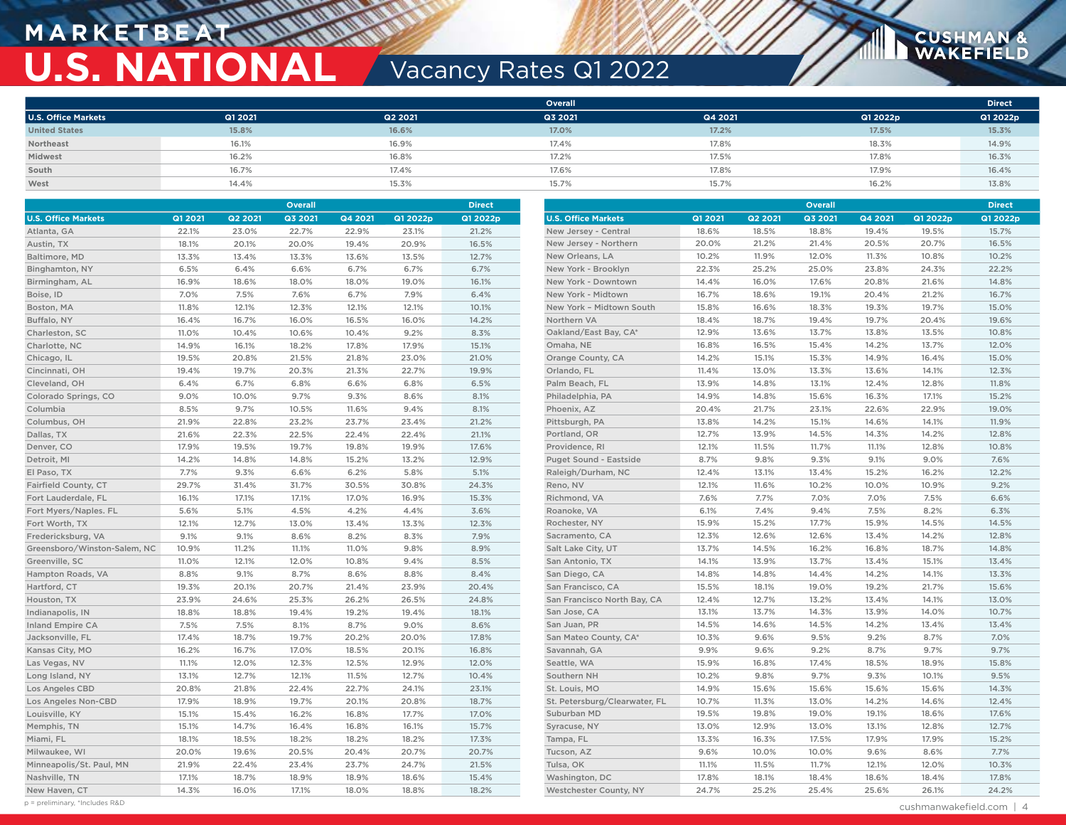# **M A R K E T B E AT U.S. NATIONAL Vacancy Rates Q1 2022**

|                            |         |         | <b>Overall</b> |         |          | <b>Direct</b> |
|----------------------------|---------|---------|----------------|---------|----------|---------------|
| <b>U.S. Office Markets</b> | Q1 2021 | Q2 2021 | Q3 2021        | Q4 2021 | Q1 2022p | Q1 2022p      |
| <b>United States</b>       | 15.8%   | 16.6%   | 17.0%          | 17.2%   | 17.5%    | 15.3%         |
| Northeast                  | 16.1%   | 16.9%   | 17.4%          | 17.8%   | 18.3%    | 14.9%         |
| Midwest                    | 16.2%   | 16.8%   | 17.2%          | 17.5%   | 17.8%    | 16.3%         |
| South                      | 16.7%   | 17.4%   | 17.6%          | 17.8%   | 17.9%    | 16.4%         |
| West                       | 14.4%   | 15.3%   | 15.7%          | 15.7%   | 16.2%    | 13.8%         |

|                              | <b>Overall</b><br><b>Direct</b> |         |         |         | Overall<br><b>Direct</b> |          |                               |         |         |         |         |          |          |
|------------------------------|---------------------------------|---------|---------|---------|--------------------------|----------|-------------------------------|---------|---------|---------|---------|----------|----------|
| <b>U.S. Office Markets</b>   | Q1 2021                         | Q2 2021 | Q3 2021 | Q4 2021 | Q1 2022p                 | Q1 2022p | <b>U.S. Office Markets</b>    | Q1 2021 | Q2 2021 | Q3 2021 | Q4 2021 | Q1 2022p | Q1 2022p |
| Atlanta, GA                  | 22.1%                           | 23.0%   | 22.7%   | 22.9%   | 23.1%                    | 21.2%    | New Jersey - Central          | 18.6%   | 18.5%   | 18.8%   | 19.4%   | 19.5%    | 15.7%    |
| Austin, TX                   | 18.1%                           | 20.1%   | 20.0%   | 19.4%   | 20.9%                    | 16.5%    | New Jersey - Northern         | 20.0%   | 21.2%   | 21.4%   | 20.5%   | 20.7%    | 16.5%    |
| Baltimore, MD                | 13.3%                           | 13.4%   | 13.3%   | 13.6%   | 13.5%                    | 12.7%    | New Orleans, LA               | 10.2%   | 11.9%   | 12.0%   | 11.3%   | 10.8%    | 10.2%    |
| Binghamton, NY               | 6.5%                            | 6.4%    | 6.6%    | 6.7%    | 6.7%                     | 6.7%     | New York - Brooklyn           | 22.3%   | 25.2%   | 25.0%   | 23.8%   | 24.3%    | 22.2%    |
| Birmingham, AL               | 16.9%                           | 18.6%   | 18.0%   | 18.0%   | 19.0%                    | 16.1%    | New York - Downtown           | 14.4%   | 16.0%   | 17.6%   | 20.8%   | 21.6%    | 14.8%    |
| Boise, ID                    | 7.0%                            | 7.5%    | 7.6%    | 6.7%    | 7.9%                     | 6.4%     | New York - Midtown            | 16.7%   | 18.6%   | 19.1%   | 20.4%   | 21.2%    | 16.7%    |
| Boston, MA                   | 11.8%                           | 12.1%   | 12.3%   | 12.1%   | 12.1%                    | 10.1%    | New York - Midtown South      | 15.8%   | 16.6%   | 18.3%   | 19.3%   | 19.7%    | 15.0%    |
| Buffalo, NY                  | 16.4%                           | 16.7%   | 16.0%   | 16.5%   | 16.0%                    | 14.2%    | Northern VA                   | 18.4%   | 18.7%   | 19.4%   | 19.7%   | 20.4%    | 19.6%    |
| Charleston, SC               | 11.0%                           | 10.4%   | 10.6%   | 10.4%   | 9.2%                     | 8.3%     | Oakland/East Bay, CA*         | 12.9%   | 13.6%   | 13.7%   | 13.8%   | 13.5%    | 10.8%    |
| Charlotte, NC                | 14.9%                           | 16.1%   | 18.2%   | 17.8%   | 17.9%                    | 15.1%    | Omaha, NE                     | 16.8%   | 16.5%   | 15.4%   | 14.2%   | 13.7%    | 12.0%    |
| Chicago, IL                  | 19.5%                           | 20.8%   | 21.5%   | 21.8%   | 23.0%                    | 21.0%    | Orange County, CA             | 14.2%   | 15.1%   | 15.3%   | 14.9%   | 16.4%    | 15.0%    |
| Cincinnati, OH               | 19.4%                           | 19.7%   | 20.3%   | 21.3%   | 22.7%                    | 19.9%    | Orlando, FL                   | 11.4%   | 13.0%   | 13.3%   | 13.6%   | 14.1%    | 12.3%    |
| Cleveland, OH                | 6.4%                            | 6.7%    | 6.8%    | 6.6%    | 6.8%                     | 6.5%     | Palm Beach, FL                | 13.9%   | 14.8%   | 13.1%   | 12.4%   | 12.8%    | 11.8%    |
| Colorado Springs, CO         | 9.0%                            | 10.0%   | 9.7%    | 9.3%    | 8.6%                     | 8.1%     | Philadelphia, PA              | 14.9%   | 14.8%   | 15.6%   | 16.3%   | 17.1%    | 15.2%    |
| Columbia                     | 8.5%                            | 9.7%    | 10.5%   | 11.6%   | 9.4%                     | 8.1%     | Phoenix, AZ                   | 20.4%   | 21.7%   | 23.1%   | 22.6%   | 22.9%    | 19.0%    |
| Columbus, OH                 | 21.9%                           | 22.8%   | 23.2%   | 23.7%   | 23.4%                    | 21.2%    | Pittsburgh, PA                | 13.8%   | 14.2%   | 15.1%   | 14.6%   | 14.1%    | 11.9%    |
| Dallas, TX                   | 21.6%                           | 22.3%   | 22.5%   | 22.4%   | 22.4%                    | 21.1%    | Portland, OR                  | 12.7%   | 13.9%   | 14.5%   | 14.3%   | 14.2%    | 12.8%    |
| Denver, CO                   | 17.9%                           | 19.5%   | 19.7%   | 19.8%   | 19.9%                    | 17.6%    | Providence, RI                | 12.1%   | 11.5%   | 11.7%   | 11.1%   | 12.8%    | 10.8%    |
| Detroit, MI                  | 14.2%                           | 14.8%   | 14.8%   | 15.2%   | 13.2%                    | 12.9%    | Puget Sound - Eastside        | 8.7%    | 9.8%    | 9.3%    | 9.1%    | 9.0%     | 7.6%     |
| El Paso, TX                  | 7.7%                            | 9.3%    | 6.6%    | 6.2%    | 5.8%                     | 5.1%     | Raleigh/Durham, NC            | 12.4%   | 13.1%   | 13.4%   | 15.2%   | 16.2%    | 12.2%    |
| Fairfield County, CT         | 29.7%                           | 31.4%   | 31.7%   | 30.5%   | 30.8%                    | 24.3%    | Reno, NV                      | 12.1%   | 11.6%   | 10.2%   | 10.0%   | 10.9%    | 9.2%     |
| Fort Lauderdale, FL          | 16.1%                           | 17.1%   | 17.1%   | 17.0%   | 16.9%                    | 15.3%    | Richmond, VA                  | 7.6%    | 7.7%    | 7.0%    | 7.0%    | 7.5%     | 6.6%     |
| Fort Myers/Naples. FL        | 5.6%                            | 5.1%    | 4.5%    | 4.2%    | 4.4%                     | 3.6%     | Roanoke, VA                   | 6.1%    | 7.4%    | 9.4%    | 7.5%    | 8.2%     | 6.3%     |
| Fort Worth, TX               | 12.1%                           | 12.7%   | 13.0%   | 13.4%   | 13.3%                    | 12.3%    | Rochester, NY                 | 15.9%   | 15.2%   | 17.7%   | 15.9%   | 14.5%    | 14.5%    |
| Fredericksburg, VA           | 9.1%                            | 9.1%    | 8.6%    | 8.2%    | 8.3%                     | 7.9%     | Sacramento, CA                | 12.3%   | 12.6%   | 12.6%   | 13.4%   | 14.2%    | 12.8%    |
| Greensboro/Winston-Salem, NC | 10.9%                           | 11.2%   | 11.1%   | 11.0%   | 9.8%                     | 8.9%     | Salt Lake City, UT            | 13.7%   | 14.5%   | 16.2%   | 16.8%   | 18.7%    | 14.8%    |
| Greenville, SC               | 11.0%                           | 12.1%   | 12.0%   | 10.8%   | 9.4%                     | 8.5%     | San Antonio, TX               | 14.1%   | 13.9%   | 13.7%   | 13.4%   | 15.1%    | 13.4%    |
| Hampton Roads, VA            | 8.8%                            | 9.1%    | 8.7%    | 8.6%    | 8.8%                     | 8.4%     | San Diego, CA                 | 14.8%   | 14.8%   | 14.4%   | 14.2%   | 14.1%    | 13.3%    |
| Hartford, CT                 | 19.3%                           | 20.1%   | 20.7%   | 21.4%   | 23.9%                    | 20.4%    | San Francisco, CA             | 15.5%   | 18.1%   | 19.0%   | 19.2%   | 21.7%    | 15.6%    |
| Houston, TX                  | 23.9%                           | 24.6%   | 25.3%   | 26.2%   | 26.5%                    | 24.8%    | San Francisco North Bay, CA   | 12.4%   | 12.7%   | 13.2%   | 13.4%   | 14.1%    | 13.0%    |
| Indianapolis, IN             | 18.8%                           | 18.8%   | 19.4%   | 19.2%   | 19.4%                    | 18.1%    | San Jose, CA                  | 13.1%   | 13.7%   | 14.3%   | 13.9%   | 14.0%    | 10.7%    |
| <b>Inland Empire CA</b>      | 7.5%                            | 7.5%    | 8.1%    | 8.7%    | 9.0%                     | 8.6%     | San Juan, PR                  | 14.5%   | 14.6%   | 14.5%   | 14.2%   | 13.4%    | 13.4%    |
| Jacksonville, FL             | 17.4%                           | 18.7%   | 19.7%   | 20.2%   | 20.0%                    | 17.8%    | San Mateo County, CA*         | 10.3%   | 9.6%    | 9.5%    | 9.2%    | 8.7%     | 7.0%     |
| Kansas City, MO              | 16.2%                           | 16.7%   | 17.0%   | 18.5%   | 20.1%                    | 16.8%    | Savannah, GA                  | 9.9%    | 9.6%    | 9.2%    | 8.7%    | 9.7%     | 9.7%     |
| Las Vegas, NV                | 11.1%                           | 12.0%   | 12.3%   | 12.5%   | 12.9%                    | 12.0%    | Seattle, WA                   | 15.9%   | 16.8%   | 17.4%   | 18.5%   | 18.9%    | 15.8%    |
| Long Island, NY              | 13.1%                           | 12.7%   | 12.1%   | 11.5%   | 12.7%                    | 10.4%    | Southern NH                   | 10.2%   | 9.8%    | 9.7%    | 9.3%    | 10.1%    | 9.5%     |
| Los Angeles CBD              | 20.8%                           | 21.8%   | 22.4%   | 22.7%   | 24.1%                    | 23.1%    | St. Louis, MO                 | 14.9%   | 15.6%   | 15.6%   | 15.6%   | 15.6%    | 14.3%    |
| Los Angeles Non-CBD          | 17.9%                           | 18.9%   | 19.7%   | 20.1%   | 20.8%                    | 18.7%    | St. Petersburg/Clearwater, FL | 10.7%   | 11.3%   | 13.0%   | 14.2%   | 14.6%    | 12.4%    |
| Louisville, KY               | 15.1%                           | 15.4%   | 16.2%   | 16.8%   | 17.7%                    | 17.0%    | Suburban MD                   | 19.5%   | 19.8%   | 19.0%   | 19.1%   | 18.6%    | 17.6%    |
| Memphis, TN                  | 15.1%                           | 14.7%   | 16.4%   | 16.8%   | 16.1%                    | 15.7%    | Syracuse, NY                  | 13.0%   | 12.9%   | 13.0%   | 13.1%   | 12.8%    | 12.7%    |
| Miami, FL                    | 18.1%                           | 18.5%   | 18.2%   | 18.2%   | 18.2%                    | 17.3%    | Tampa, FL                     | 13.3%   | 16.3%   | 17.5%   | 17.9%   | 17.9%    | 15.2%    |
| Milwaukee, WI                | 20.0%                           | 19.6%   | 20.5%   | 20.4%   | 20.7%                    | 20.7%    | Tucson, AZ                    | 9.6%    | 10.0%   | 10.0%   | 9.6%    | 8.6%     | 7.7%     |
| Minneapolis/St. Paul, MN     | 21.9%                           | 22.4%   | 23.4%   | 23.7%   | 24.7%                    | 21.5%    | Tulsa, OK                     | 11.1%   | 11.5%   | 11.7%   | 12.1%   | 12.0%    | 10.3%    |
| Nashville, TN                | 17.1%                           | 18.7%   | 18.9%   | 18.9%   | 18.6%                    | 15.4%    | Washington, DC                | 17.8%   | 18.1%   | 18.4%   | 18.6%   | 18.4%    | 17.8%    |
| New Haven, CT                | 14.3%                           | 16.0%   | 17.1%   | 18.0%   | 18.8%                    | 18.2%    | Westchester County, NY        | 24.7%   | 25.2%   | 25.4%   | 25.6%   | 26.1%    | 24.2%    |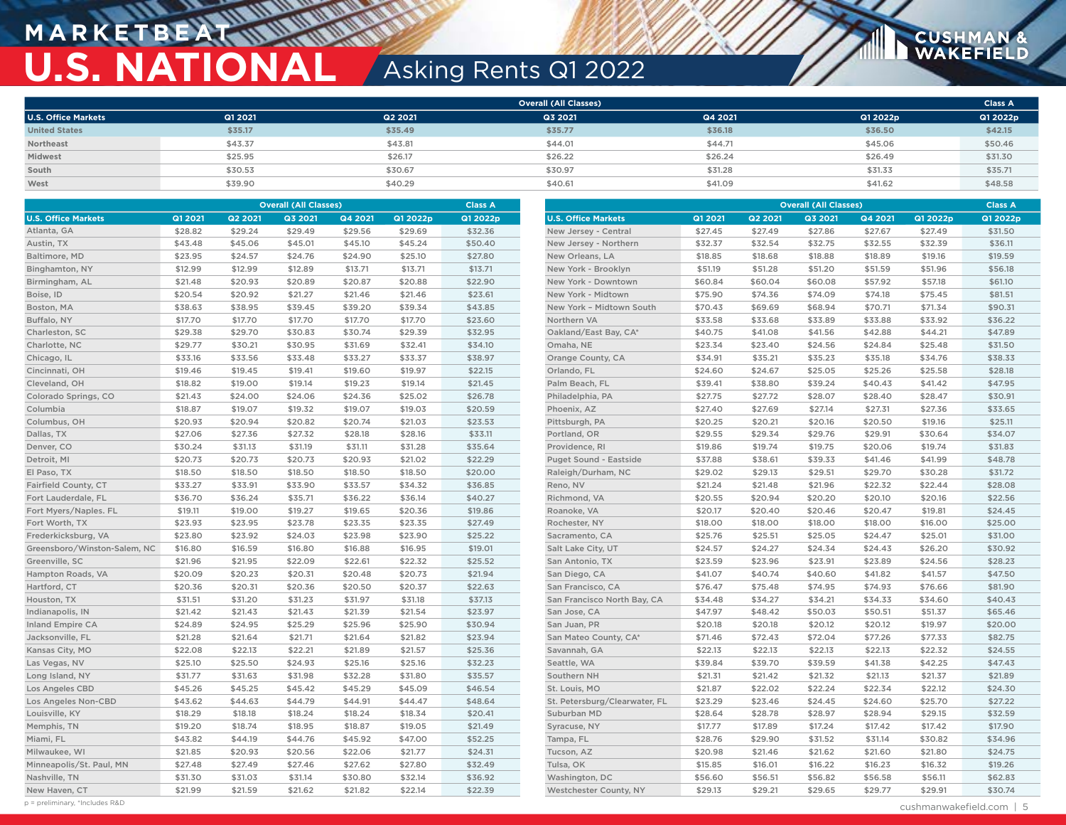# **M A R K E T B E AT U.S. NATIONAL** Asking Rents Q1 2022

|                            |         |         | <b>Overall (All Classes)</b> |         |          | <b>Class A</b> |
|----------------------------|---------|---------|------------------------------|---------|----------|----------------|
| <b>U.S. Office Markets</b> | Q1 2021 | Q2 2021 | Q3 2021                      | Q4 2021 | Q1 2022p | Q1 2022p       |
| <b>United States</b>       | \$35.17 | \$35.49 | \$35.77                      | \$36.18 | \$36.50  | \$42.15        |
| Northeast                  | \$43.37 | \$43.81 | \$44.01                      | \$44.71 | \$45.06  | \$50.46        |
| Midwest                    | \$25.95 | \$26.17 | \$26.22                      | \$26.24 | \$26.49  | \$31.30        |
| South                      | \$30.53 | \$30.67 | \$30.97                      | \$31.28 | \$31.33  | \$35.71        |
| West                       | \$39.90 | \$40.29 | \$40.61                      | \$41.09 | \$41.62  | \$48.58        |

|                              |         | <b>Overall (All Classes)</b> |         |         | <b>Class A</b> | <b>Overall (All Classes)</b> |                               |         |                | <b>Class A</b> |         |          |          |
|------------------------------|---------|------------------------------|---------|---------|----------------|------------------------------|-------------------------------|---------|----------------|----------------|---------|----------|----------|
| <b>U.S. Office Markets</b>   | Q1 2021 | <b>Q2 2021</b>               | Q3 2021 | Q4 2021 | Q1 2022p       | Q1 2022p                     | <b>U.S. Office Markets</b>    | Q1 2021 | <b>Q2 2021</b> | Q3 2021        | Q4 2021 | Q1 2022p | Q1 2022p |
| Atlanta, GA                  | \$28.82 | \$29.24                      | \$29.49 | \$29.56 | \$29.69        | \$32.36                      | New Jersey - Central          | \$27.45 | \$27.49        | \$27.86        | \$27.67 | \$27.49  | \$31.50  |
| Austin, TX                   | \$43.48 | \$45.06                      | \$45.01 | \$45.10 | \$45.24        | \$50.40                      | New Jersey - Northern         | \$32.37 | \$32.54        | \$32.75        | \$32.55 | \$32.39  | \$36.11  |
| Baltimore, MD                | \$23.95 | \$24.57                      | \$24.76 | \$24.90 | \$25.10        | \$27.80                      | New Orleans, LA               | \$18.85 | \$18.68        | \$18.88        | \$18.89 | \$19.16  | \$19.59  |
| Binghamton, NY               | \$12.99 | \$12.99                      | \$12.89 | \$13.71 | \$13.71        | \$13.71                      | New York - Brooklyn           | \$51.19 | \$51.28        | \$51.20        | \$51.59 | \$51.96  | \$56.18  |
| Birmingham, AL               | \$21.48 | \$20.93                      | \$20.89 | \$20.87 | \$20.88        | \$22.90                      | New York - Downtown           | \$60.84 | \$60.04        | \$60.08        | \$57.92 | \$57.18  | \$61.10  |
| Boise, ID                    | \$20.54 | \$20.92                      | \$21.27 | \$21.46 | \$21.46        | \$23.61                      | New York - Midtown            | \$75.90 | \$74.36        | \$74.09        | \$74.18 | \$75.45  | \$81.51  |
| Boston, MA                   | \$38.63 | \$38.95                      | \$39.45 | \$39.20 | \$39.34        | \$43.85                      | New York - Midtown South      | \$70.43 | \$69.69        | \$68.94        | \$70.71 | \$71.34  | \$90.31  |
| Buffalo, NY                  | \$17.70 | \$17.70                      | \$17.70 | \$17.70 | \$17.70        | \$23.60                      | Northern VA                   | \$33.58 | \$33.68        | \$33.89        | \$33.88 | \$33.92  | \$36.22  |
| Charleston, SC               | \$29.38 | \$29.70                      | \$30.83 | \$30.74 | \$29.39        | \$32.95                      | Oakland/East Bay, CA*         | \$40.75 | \$41.08        | \$41.56        | \$42.88 | \$44.21  | \$47.89  |
| Charlotte, NC                | \$29.77 | \$30.21                      | \$30.95 | \$31.69 | \$32.41        | \$34.10                      | Omaha, NE                     | \$23.34 | \$23.40        | \$24.56        | \$24.84 | \$25.48  | \$31.50  |
| Chicago, IL                  | \$33.16 | \$33.56                      | \$33.48 | \$33.27 | \$33.37        | \$38.97                      | Orange County, CA             | \$34.91 | \$35.21        | \$35.23        | \$35.18 | \$34.76  | \$38.33  |
| Cincinnati, OH               | \$19.46 | \$19.45                      | \$19.41 | \$19.60 | \$19.97        | \$22.15                      | Orlando, FL                   | \$24.60 | \$24.67        | \$25.05        | \$25.26 | \$25.58  | \$28.18  |
| Cleveland, OH                | \$18.82 | \$19.00                      | \$19.14 | \$19.23 | \$19.14        | \$21.45                      | Palm Beach, FL                | \$39.41 | \$38.80        | \$39.24        | \$40.43 | \$41.42  | \$47.95  |
| Colorado Springs, CO         | \$21.43 | \$24.00                      | \$24.06 | \$24.36 | \$25.02        | \$26.78                      | Philadelphia, PA              | \$27.75 | \$27.72        | \$28.07        | \$28.40 | \$28.47  | \$30.91  |
| Columbia                     | \$18.87 | \$19.07                      | \$19.32 | \$19.07 | \$19.03        | \$20.59                      | Phoenix, AZ                   | \$27.40 | \$27.69        | \$27.14        | \$27.31 | \$27.36  | \$33.65  |
| Columbus, OH                 | \$20.93 | \$20.94                      | \$20.82 | \$20.74 | \$21.03        | \$23.53                      | Pittsburgh, PA                | \$20.25 | \$20.21        | \$20.16        | \$20.50 | \$19.16  | \$25.11  |
| Dallas, TX                   | \$27.06 | \$27.36                      | \$27.32 | \$28.18 | \$28.16        | \$33.11                      | Portland, OR                  | \$29.55 | \$29.34        | \$29.76        | \$29.91 | \$30.64  | \$34.07  |
| Denver, CO                   | \$30.24 | \$31.13                      | \$31.19 | \$31.11 | \$31.28        | \$35.64                      | Providence, RI                | \$19.86 | \$19.74        | \$19.75        | \$20.06 | \$19.74  | \$31.83  |
| Detroit, MI                  | \$20.73 | \$20.73                      | \$20.73 | \$20.93 | \$21.02        | \$22.29                      | Puget Sound - Eastside        | \$37.88 | \$38.61        | \$39.33        | \$41.46 | \$41.99  | \$48.78  |
| El Paso, TX                  | \$18.50 | \$18.50                      | \$18.50 | \$18.50 | \$18.50        | \$20.00                      | Raleigh/Durham, NC            | \$29.02 | \$29.13        | \$29.51        | \$29.70 | \$30.28  | \$31.72  |
| Fairfield County, CT         | \$33.27 | \$33.91                      | \$33.90 | \$33.57 | \$34.32        | \$36.85                      | Reno, NV                      | \$21.24 | \$21.48        | \$21.96        | \$22.32 | \$22.44  | \$28.08  |
| Fort Lauderdale, FL          | \$36.70 | \$36.24                      | \$35.71 | \$36.22 | \$36.14        | \$40.27                      | Richmond, VA                  | \$20.55 | \$20.94        | \$20.20        | \$20.10 | \$20.16  | \$22.56  |
| Fort Myers/Naples. FL        | \$19.11 | \$19.00                      | \$19.27 | \$19.65 | \$20.36        | \$19.86                      | Roanoke, VA                   | \$20.17 | \$20.40        | \$20.46        | \$20.47 | \$19.81  | \$24.45  |
| Fort Worth, TX               | \$23.93 | \$23.95                      | \$23.78 | \$23.35 | \$23.35        | \$27.49                      | Rochester, NY                 | \$18.00 | \$18.00        | \$18.00        | \$18.00 | \$16.00  | \$25.00  |
| Frederkicksburg, VA          | \$23.80 | \$23.92                      | \$24.03 | \$23.98 | \$23.90        | \$25.22                      | Sacramento, CA                | \$25.76 | \$25.51        | \$25.05        | \$24.47 | \$25.01  | \$31.00  |
| Greensboro/Winston-Salem, NC | \$16.80 | \$16.59                      | \$16.80 | \$16.88 | \$16.95        | \$19.01                      | Salt Lake City, UT            | \$24.57 | \$24.27        | \$24.34        | \$24.43 | \$26.20  | \$30.92  |
| Greenville, SC               | \$21.96 | \$21.95                      | \$22.09 | \$22.61 | \$22.32        | \$25.52                      | San Antonio, TX               | \$23.59 | \$23.96        | \$23.91        | \$23.89 | \$24.56  | \$28.23  |
| Hampton Roads, VA            | \$20.09 | \$20.23                      | \$20.31 | \$20.48 | \$20.73        | \$21.94                      | San Diego, CA                 | \$41.07 | \$40.74        | \$40.60        | \$41.82 | \$41.57  | \$47.50  |
| Hartford, CT                 | \$20.36 | \$20.31                      | \$20.36 | \$20.50 | \$20.37        | \$22.63                      | San Francisco, CA             | \$76.47 | \$75.48        | \$74.95        | \$74.93 | \$76.66  | \$81.90  |
| Houston, TX                  | \$31.51 | \$31.20                      | \$31.23 | \$31.97 | \$31.18        | \$37.13                      | San Francisco North Bay, CA   | \$34.48 | \$34.27        | \$34.21        | \$34.33 | \$34.60  | \$40.43  |
| Indianapolis, IN             | \$21.42 | \$21.43                      | \$21.43 | \$21.39 | \$21.54        | \$23.97                      | San Jose, CA                  | \$47.97 | \$48.42        | \$50.03        | \$50.51 | \$51.37  | \$65.46  |
| <b>Inland Empire CA</b>      | \$24.89 | \$24.95                      | \$25.29 | \$25.96 | \$25.90        | \$30.94                      | San Juan, PR                  | \$20.18 | \$20.18        | \$20.12        | \$20.12 | \$19.97  | \$20.00  |
| Jacksonville, FL             | \$21.28 | \$21.64                      | \$21.71 | \$21.64 | \$21.82        | \$23.94                      | San Mateo County, CA*         | \$71.46 | \$72.43        | \$72.04        | \$77.26 | \$77.33  | \$82.75  |
| Kansas City, MO              | \$22.08 | \$22.13                      | \$22.21 | \$21.89 | \$21.57        | \$25.36                      | Savannah, GA                  | \$22.13 | \$22.13        | \$22.13        | \$22.13 | \$22.32  | \$24.55  |
| Las Vegas, NV                | \$25.10 | \$25.50                      | \$24.93 | \$25.16 | \$25.16        | \$32.23                      | Seattle, WA                   | \$39.84 | \$39.70        | \$39.59        | \$41.38 | \$42.25  | \$47.43  |
| Long Island, NY              | \$31.77 | \$31.63                      | \$31.98 | \$32.28 | \$31.80        | \$35.57                      | Southern NH                   | \$21.31 | \$21.42        | \$21.32        | \$21.13 | \$21.37  | \$21.89  |
| Los Angeles CBD              | \$45.26 | \$45.25                      | \$45.42 | \$45.29 | \$45.09        | \$46.54                      | St. Louis, MO                 | \$21.87 | \$22.02        | \$22.24        | \$22.34 | \$22.12  | \$24.30  |
| Los Angeles Non-CBD          | \$43.62 | \$44.63                      | \$44.79 | \$44.91 | \$44.47        | \$48.64                      | St. Petersburg/Clearwater, FL | \$23.29 | \$23.46        | \$24.45        | \$24.60 | \$25.70  | \$27.22  |
| Louisville, KY               | \$18.29 | \$18.18                      | \$18.24 | \$18.24 | \$18.34        | \$20.41                      | Suburban MD                   | \$28.64 | \$28.78        | \$28.97        | \$28.94 | \$29.15  | \$32.59  |
| Memphis, TN                  | \$19.20 | \$18.74                      | \$18.95 | \$18.87 | \$19.05        | \$21.49                      | Syracuse, NY                  | \$17.77 | \$17.89        | \$17.24        | \$17.42 | \$17.42  | \$17.90  |
| Miami, FL                    | \$43.82 | \$44.19                      | \$44.76 | \$45.92 | \$47.00        | \$52.25                      | Tampa, FL                     | \$28.76 | \$29.90        | \$31.52        | \$31.14 | \$30.82  | \$34.96  |
| Milwaukee, WI                | \$21.85 | \$20.93                      | \$20.56 | \$22.06 | \$21.77        | \$24.31                      | Tucson, AZ                    | \$20.98 | \$21.46        | \$21.62        | \$21.60 | \$21.80  | \$24.75  |
| Minneapolis/St. Paul, MN     | \$27.48 | \$27.49                      | \$27.46 | \$27.62 | \$27.80        | \$32.49                      | Tulsa, OK                     | \$15.85 | \$16.01        | \$16.22        | \$16.23 | \$16.32  | \$19.26  |
| Nashville, TN                | \$31.30 | \$31.03                      | \$31.14 | \$30.80 | \$32.14        | \$36.92                      | Washington, DC                | \$56.60 | \$56.51        | \$56.82        | \$56.58 | \$56.11  | \$62.83  |
| New Haven, CT                | \$21.99 | \$21.59                      | \$21.62 | \$21.82 | \$22.14        | \$22.39                      | Westchester County, NY        | \$29.13 | \$29.21        | \$29.65        | \$29.77 | \$29.91  | \$30.74  |

p = preliminary, \*Includes R&D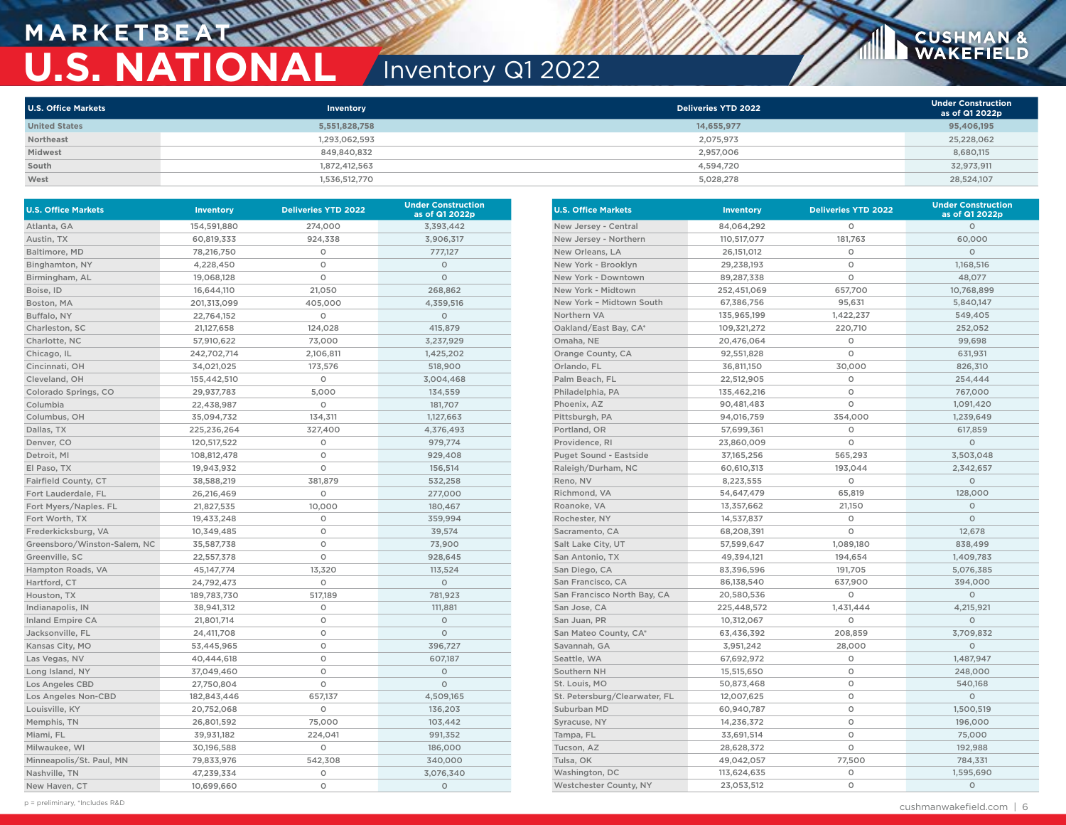## **M A R K E T B E AT U.S. NATIONAL** Inventory Q1 2022

| <b>U.S. Office Markets</b> | Inventory     | Deliveries YTD 2022 | <b>Under Construction</b><br>as of Q1 2022p |
|----------------------------|---------------|---------------------|---------------------------------------------|
| <b>United States</b>       | 5,551,828,758 | 14,655,977          | 95,406,195                                  |
| Northeast                  | 1.293.062.593 | 2,075,973           | 25,228,062                                  |
| Midwest                    | 849,840,832   | 2,957,006           | 8,680,115                                   |
| South                      | 1,872,412,563 | 4,594,720           | 32,973,911                                  |
| West                       | 1,536,512,770 | 5,028,278           | 28,524,107                                  |

| <b>U.S. Office Markets</b>   | <b>Inventory</b> | <b>Deliveries YTD 2022</b> | <b>Under Construction</b><br>as of Q1 2022p |
|------------------------------|------------------|----------------------------|---------------------------------------------|
| Atlanta, GA                  | 154,591,880      | 274,000                    | 3,393,442                                   |
| Austin, TX                   | 60,819,333       | 924,338                    | 3,906,317                                   |
| Baltimore, MD                | 78,216,750       | O                          | 777,127                                     |
| Binghamton, NY               | 4,228,450        | O                          | $\circ$                                     |
| Birmingham, AL               | 19,068,128       | O                          | $\circ$                                     |
| Boise, ID                    | 16,644,110       | 21,050                     | 268,862                                     |
| Boston, MA                   | 201,313,099      | 405,000                    | 4,359,516                                   |
| Buffalo, NY                  | 22,764,152       | O                          | $\circ$                                     |
| Charleston, SC               | 21,127,658       | 124,028                    | 415,879                                     |
| Charlotte, NC                | 57,910,622       | 73,000                     | 3,237,929                                   |
| Chicago, IL                  | 242,702,714      | 2,106,811                  | 1,425,202                                   |
| Cincinnati, OH               | 34,021,025       | 173,576                    | 518,900                                     |
| Cleveland, OH                | 155,442,510      | 0                          | 3,004,468                                   |
| Colorado Springs, CO         | 29,937,783       | 5,000                      | 134,559                                     |
| Columbia                     | 22,438,987       | O                          | 181,707                                     |
| Columbus, OH                 | 35,094,732       | 134,311                    | 1,127,663                                   |
| Dallas, TX                   | 225,236,264      | 327,400                    | 4,376,493                                   |
| Denver, CO                   | 120,517,522      | O                          | 979,774                                     |
| Detroit, MI                  | 108,812,478      | O                          | 929,408                                     |
| El Paso, TX                  | 19,943,932       | O                          | 156,514                                     |
| Fairfield County, CT         | 38,588,219       | 381,879                    | 532,258                                     |
| Fort Lauderdale, FL          | 26,216,469       | O                          | 277,000                                     |
| Fort Myers/Naples. FL        | 21,827,535       | 10,000                     | 180,467                                     |
| Fort Worth, TX               | 19,433,248       | O                          | 359,994                                     |
| Frederkicksburg, VA          | 10,349,485       | O                          | 39,574                                      |
| Greensboro/Winston-Salem, NC | 35,587,738       | O                          | 73,900                                      |
| Greenville, SC               | 22,557,378       | 0                          | 928,645                                     |
| Hampton Roads, VA            | 45, 147, 774     | 13,320                     | 113,524                                     |
| Hartford, CT                 | 24,792,473       | O                          | $\circ$                                     |
| Houston, TX                  | 189,783,730      | 517,189                    | 781,923                                     |
| Indianapolis, IN             | 38,941,312       | O                          | 111,881                                     |
| <b>Inland Empire CA</b>      | 21,801,714       | O                          | $\circ$                                     |
| Jacksonville, FL             | 24,411,708       | O                          | $\circ$                                     |
| Kansas City, MO              | 53,445,965       | O                          | 396,727                                     |
| Las Vegas, NV                | 40,444,618       | O                          | 607,187                                     |
| Long Island, NY              | 37,049,460       | O                          | $\circ$                                     |
| Los Angeles CBD              | 27,750,804       | O                          | $\circ$                                     |
| Los Angeles Non-CBD          | 182,843,446      | 657,137                    | 4,509,165                                   |
| Louisville, KY               | 20,752,068       | O                          | 136,203                                     |
| Memphis, TN                  | 26,801,592       | 75,000                     | 103,442                                     |
| Miami, FL                    | 39,931,182       | 224,041                    | 991,352                                     |
| Milwaukee, WI                | 30,196,588       | O                          | 186,000                                     |
| Minneapolis/St. Paul, MN     | 79,833,976       | 542,308                    | 340,000                                     |
| Nashville, TN                | 47,239,334       | O                          | 3,076,340                                   |
| New Haven, CT                | 10,699,660       | O                          | $\circ$                                     |

| <b>U.S. Office Markets</b>    | Inventory   | <b>Deliveries YTD 2022</b> | <b>Under Construction</b><br>as of Q1 2022p |
|-------------------------------|-------------|----------------------------|---------------------------------------------|
| New Jersey - Central          | 84,064,292  | O                          | $\circ$                                     |
| New Jersey - Northern         | 110,517,077 | 181,763                    | 60,000                                      |
| New Orleans, LA               | 26,151,012  | 0                          | $\circ$                                     |
| New York - Brooklyn           | 29,238,193  | $\circ$                    | 1,168,516                                   |
| New York - Downtown           | 89,287,338  | O                          | 48,077                                      |
| New York - Midtown            | 252,451,069 | 657,700                    | 10,768,899                                  |
| New York - Midtown South      | 67,386,756  | 95,631                     | 5,840,147                                   |
| Northern VA                   | 135,965,199 | 1,422,237                  | 549,405                                     |
| Oakland/East Bay, CA*         | 109,321,272 | 220,710                    | 252,052                                     |
| Omaha, NE                     | 20,476,064  | O                          | 99,698                                      |
| Orange County, CA             | 92,551,828  | O                          | 631,931                                     |
| Orlando, FL                   | 36,811,150  | 30,000                     | 826,310                                     |
| Palm Beach, FL                | 22,512,905  | O                          | 254,444                                     |
| Philadelphia, PA              | 135,462,216 | $\circ$                    | 767,000                                     |
| Phoenix, AZ                   | 90,481,483  | O                          | 1,091,420                                   |
| Pittsburgh, PA                | 94,016,759  | 354,000                    | 1,239,649                                   |
| Portland, OR                  | 57,699,361  | O                          | 617,859                                     |
| Providence, RI                | 23,860,009  | O                          | $\circ$                                     |
| <b>Puget Sound - Eastside</b> | 37,165,256  | 565,293                    | 3,503,048                                   |
| Raleigh/Durham, NC            | 60,610,313  | 193,044                    | 2,342,657                                   |
| Reno, NV                      | 8,223,555   | O                          | $\circ$                                     |
| Richmond, VA                  | 54,647,479  | 65,819                     | 128,000                                     |
| Roanoke, VA                   | 13,357,662  | 21,150                     | O                                           |
| Rochester, NY                 | 14,537,837  | O                          | $\circ$                                     |
| Sacramento, CA                | 68,208,391  | O                          | 12,678                                      |
| Salt Lake City, UT            | 57,599,647  | 1,089,180                  | 838,499                                     |
| San Antonio, TX               | 49,394,121  | 194,654                    | 1,409,783                                   |
| San Diego, CA                 | 83,396,596  | 191,705                    | 5,076,385                                   |
| San Francisco, CA             | 86,138,540  | 637,900                    | 394,000                                     |
| San Francisco North Bay, CA   | 20,580,536  | O                          | $\circ$                                     |
| San Jose, CA                  | 225,448,572 | 1,431,444                  | 4,215,921                                   |
| San Juan, PR                  | 10,312,067  | О                          | O                                           |
| San Mateo County, CA*         | 63,436,392  | 208,859                    | 3,709,832                                   |
| Savannah, GA                  | 3,951,242   | 28,000                     | $\circ$                                     |
| Seattle, WA                   | 67,692,972  | O                          | 1,487,947                                   |
| Southern NH                   | 15,515,650  | O                          | 248,000                                     |
| St. Louis, MO                 | 50,873,468  | O                          | 540,168                                     |
| St. Petersburg/Clearwater, FL | 12,007,625  | O                          | O                                           |
| Suburban MD                   | 60,940,787  | $\circ$                    | 1,500,519                                   |
| Syracuse, NY                  | 14,236,372  | O                          | 196,000                                     |
| Tampa, FL                     | 33,691,514  | O                          | 75,000                                      |
| Tucson, AZ                    | 28,628,372  | O                          | 192,988                                     |
| Tulsa, OK                     | 49,042,057  | 77,500                     | 784,331                                     |
| Washington, DC                | 113,624,635 | O                          | 1,595,690                                   |
| Westchester County, NY        | 23,053,512  | O                          | $\circ$                                     |